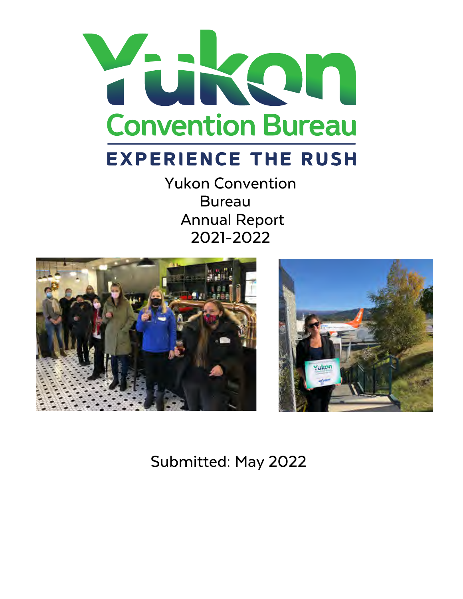

# **EXPERIENCE THE RUSH**

Yukon Convention Bureau Annual Report 2021-2022





Submitted: May 2022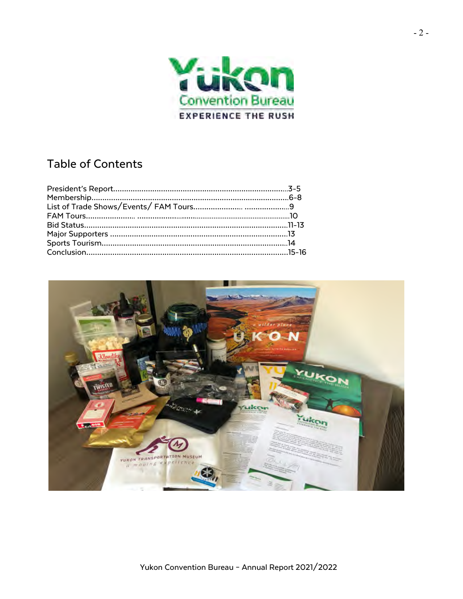

# Table of Contents

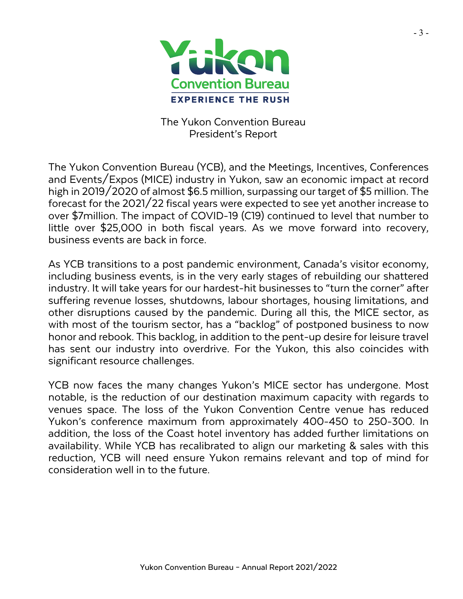

The Yukon Convention Bureau President's Report

The Yukon Convention Bureau (YCB), and the Meetings, Incentives, Conferences and Events/Expos (MICE) industry in Yukon, saw an economic impact at record high in 2019/2020 of almost \$6.5 million, surpassing our target of \$5 million. The forecast for the 2021/22 fiscal years were expected to see yet another increase to over \$7million. The impact of COVID-19 (C19) continued to level that number to little over \$25,000 in both fiscal years. As we move forward into recovery, business events are back in force.

As YCB transitions to a post pandemic environment, Canada's visitor economy, including business events, is in the very early stages of rebuilding our shattered industry. It will take years for our hardest-hit businesses to "turn the corner" after suffering revenue losses, shutdowns, labour shortages, housing limitations, and other disruptions caused by the pandemic. During all this, the MICE sector, as with most of the tourism sector, has a "backlog" of postponed business to now honor and rebook. This backlog, in addition to the pent-up desire for leisure travel has sent our industry into overdrive. For the Yukon, this also coincides with significant resource challenges.

YCB now faces the many changes Yukon's MICE sector has undergone. Most notable, is the reduction of our destination maximum capacity with regards to venues space. The loss of the Yukon Convention Centre venue has reduced Yukon's conference maximum from approximately 400-450 to 250-300. In addition, the loss of the Coast hotel inventory has added further limitations on availability. While YCB has recalibrated to align our marketing & sales with this reduction, YCB will need ensure Yukon remains relevant and top of mind for consideration well in to the future.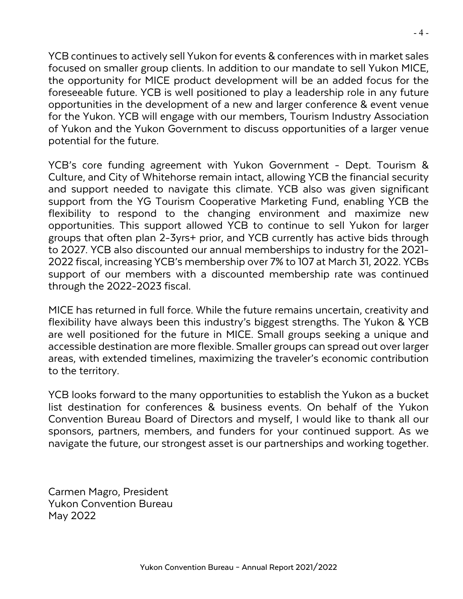YCB continues to actively sell Yukon for events & conferences with in market sales focused on smaller group clients. In addition to our mandate to sell Yukon MICE, the opportunity for MICE product development will be an added focus for the foreseeable future. YCB is well positioned to play a leadership role in any future opportunities in the development of a new and larger conference & event venue for the Yukon. YCB will engage with our members, Tourism Industry Association of Yukon and the Yukon Government to discuss opportunities of a larger venue potential for the future.

YCB's core funding agreement with Yukon Government - Dept. Tourism & Culture, and City of Whitehorse remain intact, allowing YCB the financial security and support needed to navigate this climate. YCB also was given significant support from the YG Tourism Cooperative Marketing Fund, enabling YCB the flexibility to respond to the changing environment and maximize new opportunities. This support allowed YCB to continue to sell Yukon for larger groups that often plan 2-3yrs+ prior, and YCB currently has active bids through to 2027. YCB also discounted our annual memberships to industry for the 2021- 2022 fiscal, increasing YCB's membership over 7% to 107 at March 31, 2022. YCBs support of our members with a discounted membership rate was continued through the 2022-2023 fiscal.

MICE has returned in full force. While the future remains uncertain, creativity and flexibility have always been this industry's biggest strengths. The Yukon & YCB are well positioned for the future in MICE. Small groups seeking a unique and accessible destination are more flexible. Smaller groups can spread out over larger areas, with extended timelines, maximizing the traveler's economic contribution to the territory.

YCB looks forward to the many opportunities to establish the Yukon as a bucket list destination for conferences & business events. On behalf of the Yukon Convention Bureau Board of Directors and myself, I would like to thank all our sponsors, partners, members, and funders for your continued support. As we navigate the future, our strongest asset is our partnerships and working together.

Carmen Magro, President Yukon Convention Bureau May 2022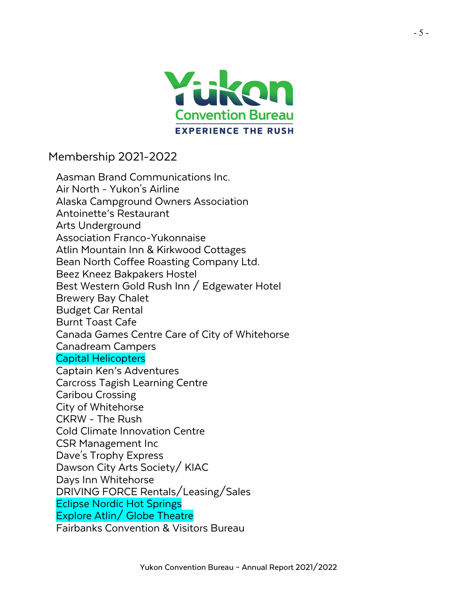

Membership 2021-2022

Aasman Brand Communications Inc. Air North - Yukon's Airline Alaska Campground Owners Association Antoinette's Restaurant Arts Underground Association Franco-Yukonnaise Atlin Mountain Inn & Kirkwood Cottages Bean North Coffee Roasting Company Ltd. Beez Kneez Bakpakers Hostel Best Western Gold Rush Inn / Edgewater Hotel Brewery Bay Chalet Budget Car Rental Burnt Toast Cafe Canada Games Centre Care of City of Whitehorse Canadream Campers Capital Helicopters Captain Ken's Adventures Carcross Tagish Learning Centre Caribou Crossing City of Whitehorse CKRW - The Rush Cold Climate Innovation Centre CSR Management Inc Dave's Trophy Express Dawson City Arts Society/ KIAC Days Inn Whitehorse DRIVING FORCE Rentals/Leasing/Sales Eclipse Nordic Hot Springs Explore Atlin/ Globe Theatre Fairbanks Convention & Visitors Bureau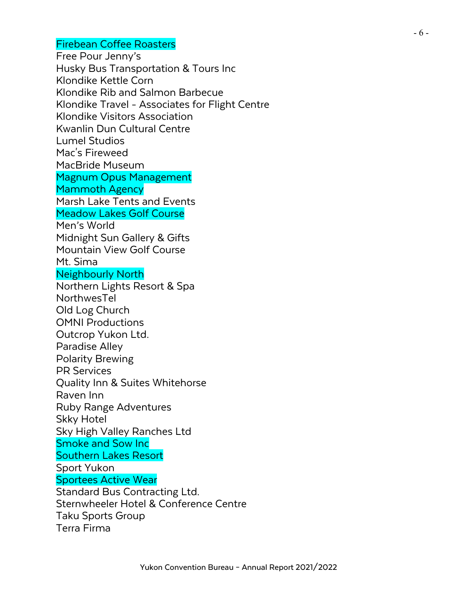## Firebean Coffee Roasters

Free Pour Jenny's Husky Bus Transportation & Tours Inc Klondike Kettle Corn Klondike Rib and Salmon Barbecue Klondike Travel - Associates for Flight Centre Klondike Visitors Association Kwanlin Dun Cultural Centre Lumel Studios Mac's Fireweed MacBride Museum Magnum Opus Management Mammoth Agency Marsh Lake Tents and Events Meadow Lakes Golf Course Men's World Midnight Sun Gallery & Gifts Mountain View Golf Course Mt. Sima Neighbourly North Northern Lights Resort & Spa NorthwesTel Old Log Church OMNI Productions Outcrop Yukon Ltd. Paradise Alley Polarity Brewing PR Services Quality Inn & Suites Whitehorse Raven Inn Ruby Range Adventures Skky Hotel Sky High Valley Ranches Ltd Smoke and Sow Inc Southern Lakes Resort Sport Yukon Sportees Active Wear Standard Bus Contracting Ltd. Sternwheeler Hotel & Conference Centre Taku Sports Group Terra Firma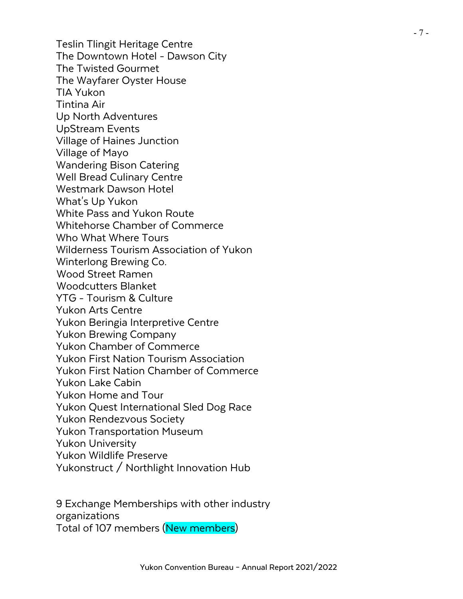Teslin Tlingit Heritage Centre The Downtown Hotel - Dawson City The Twisted Gourmet The Wayfarer Oyster House TIA Yukon Tintina Air Up North Adventures UpStream Events Village of Haines Junction Village of Mayo Wandering Bison Catering Well Bread Culinary Centre Westmark Dawson Hotel What's Up Yukon White Pass and Yukon Route Whitehorse Chamber of Commerce Who What Where Tours Wilderness Tourism Association of Yukon Winterlong Brewing Co. Wood Street Ramen Woodcutters Blanket YTG - Tourism & Culture Yukon Arts Centre Yukon Beringia Interpretive Centre Yukon Brewing Company Yukon Chamber of Commerce Yukon First Nation Tourism Association Yukon First Nation Chamber of Commerce Yukon Lake Cabin Yukon Home and Tour Yukon Quest International Sled Dog Race Yukon Rendezvous Society Yukon Transportation Museum Yukon University Yukon Wildlife Preserve Yukonstruct / Northlight Innovation Hub

9 Exchange Memberships with other industry organizations Total of 107 members (New members)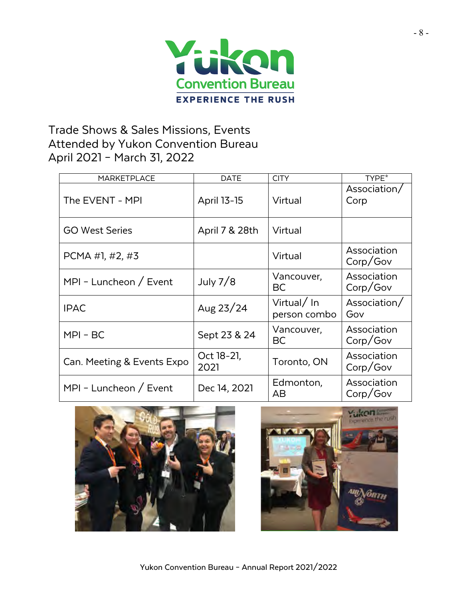

# Trade Shows & Sales Missions, Events Attended by Yukon Convention Bureau April 2021 – March 31, 2022

| <b>MARKETPLACE</b>         | <b>DATE</b>        | <b>CITY</b>                | TYPE*                   |
|----------------------------|--------------------|----------------------------|-------------------------|
| The EVENT - MPI            | <b>April 13-15</b> | Virtual                    | Association/<br>Corp    |
| <b>GO West Series</b>      | April 7 & 28th     | Virtual                    |                         |
| PCMA #1, #2, #3            |                    | Virtual                    | Association<br>Corp/Gov |
| MPI - Luncheon / Event     | July $7/8$         | Vancouver,<br>BC           | Association<br>Corp/Gov |
| <b>IPAC</b>                | Aug $23/24$        | Virtual/In<br>person combo | Association/<br>Gov     |
| $MPI - BC$                 | Sept 23 & 24       | Vancouver,<br>BC           | Association<br>Corp/Gov |
| Can. Meeting & Events Expo | Oct 18-21,<br>2021 | Toronto, ON                | Association<br>Corp/Gov |
| MPI - Luncheon / Event     | Dec 14, 2021       | Edmonton,<br>AВ            | Association<br>Corp/Gov |



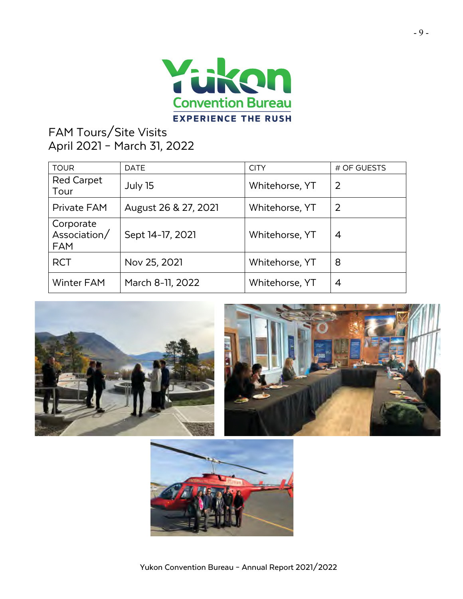

# FAM Tours/Site Visits April 2021 – March 31, 2022

| <b>TOUR</b>                             | <b>DATE</b>          | <b>CITY</b>    | # OF GUESTS    |
|-----------------------------------------|----------------------|----------------|----------------|
| <b>Red Carpet</b><br>Tour               | July 15              | Whitehorse, YT | $\overline{2}$ |
| Private FAM                             | August 26 & 27, 2021 | Whitehorse, YT | 2              |
| Corporate<br>Association/<br><b>FAM</b> | Sept 14-17, 2021     | Whitehorse, YT | 4              |
| <b>RCT</b>                              | Nov 25, 2021         | Whitehorse, YT | 8              |
| <b>Winter FAM</b>                       | March 8-11, 2022     | Whitehorse, YT | 4              |





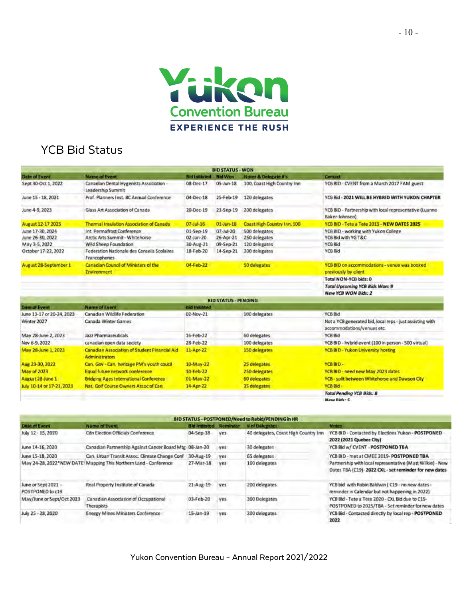

# YCB Bid Status

|                                      |                                                                 |                        | <b>BID STATUS - WON</b>     |                                 |                                                                                         |
|--------------------------------------|-----------------------------------------------------------------|------------------------|-----------------------------|---------------------------------|-----------------------------------------------------------------------------------------|
| <b>Date of Event</b>                 | <b>Name of Event</b>                                            | <b>Rid Initiated</b>   | <b>Bid Won</b>              | <b>Notes &amp; Delegate #'s</b> | Contact                                                                                 |
| Sept 30-Oct 1, 2022                  | Canadian Dental Hygenists Association -<br>Leadership Summit    | 08-Dec-17              | 05-Jun-18                   | 100, Coast High Country Inn     | YCB BID - CVENT from a March 2017 FAM guest                                             |
| June 15 - 18, 2021                   | Prof. Planners Inst. BC Annual Conference                       | 04-Dec-18              | 25-Feb-19                   | 120 delegates                   | YCB Bid - 2021 WILL BE HYBRID WITH YUKON CHAPTER                                        |
| June 4-9, 2023                       | Glass Art Association of Canada                                 | 20-Dec-19              | 23-Sep-19                   | 200 delegates                   | YCB BID - Partnership with local representative (Luanne-<br>Baker-Johnson)              |
| August 12-17 2025                    | Thermal Insulation Association of Canada                        | D7-Jul-15              | $01-10n-18$                 | Coast High Country Inn, 100     | YCB BID - Tete a Tete 2015 - NEW DATES 2025                                             |
| June 17-30, 2024<br>June 26-30, 2022 | Int. Permafrost Conference<br>Arctic Arts Summit - Whitehorse   | 01-5ep-19<br>02-Jan-20 | G7-Jul-20<br>26-Apr-21      | 500 delegates<br>250 delegates  | YCB BID - working with Yukon College<br>YCB Bid with YG T&C                             |
| May 3-5, 2022                        | Wild Sheep Foundation                                           | 30-Aug-21              | 09-Sep-21                   | 120 delegates                   | YCB Bid                                                                                 |
| October 17-22, 2022                  | Federation Nationale des Conseils Scolaires<br>Francophones     | 18-Feb-20              | 14-Sep-21                   | 200 delegates                   | <b>YCB Bid</b>                                                                          |
| August 28-September 1                | Canadian Council of Ministers of the<br><b>Environment</b>      | 04-Feb-22              |                             | 50 delegates                    | YCB BID on accommodations - venue was booked<br>previously by client                    |
|                                      |                                                                 |                        |                             |                                 | Total NON-YCB bids: 0                                                                   |
|                                      |                                                                 |                        |                             |                                 | Total Upcoming YCB Bids Won: 9                                                          |
|                                      |                                                                 |                        |                             |                                 | New YCB WON Bids: 2                                                                     |
|                                      |                                                                 |                        | <b>BID STATUS - PENDING</b> |                                 |                                                                                         |
| <b>Date of Event</b>                 | <b>Name of Event</b>                                            | itid initiated         |                             |                                 |                                                                                         |
| June 13-17 or 20-24, 2023            | Canadian Wildlife Federation                                    | 02-Nov-21              |                             | 100 delegates                   | <b>YCB Bid</b>                                                                          |
| Winter 2027                          | Canada Winter Games                                             |                        |                             |                                 | Not a YCB generated bid, local reps - just assisting with<br>accommodations/venues etc. |
| May 28-June 2, 2023                  | Jazz Pharmaceuticals                                            | 16-Feb-22              |                             | 60 delegates                    | <b>YCB Bid</b>                                                                          |
| Nov 5-9, 2022                        | canadian open data society.                                     | 28-Feb-22              |                             | 100 delegates                   | YCB BID - hybrid event (100 in person - 500 virtual)                                    |
| May 28-June 1, 2023                  | Canadian Association of Student Financial Aid<br>Administrators | 11-Apr-22              | 150 delegates               |                                 | <b>YCB BID - Yukon Liniversity hosting</b>                                              |
| Aug 23-30, 2022                      | Can. Gov - Can. hentage PM's youth coucil                       | 10-May-22              |                             | 25 delegates.                   | YCB BID-                                                                                |
| <b>May of 2023</b>                   | <b>Equal future network conference</b>                          | 10-Feb-22              |                             | 250 delegates                   | <b>YCB BID - need new May 2023 dates</b>                                                |
| August 28-June 1                     | <b>Bridging Ages International Conference</b>                   | 01-May-22              |                             | 60 delegates                    | YCB - split between Whitehorse and Dawson City                                          |
| July 10-14 or 17-21, 2023            | Nat. Golf Course Owners Associal Can-                           | 14-Apr-22              |                             | 35 delegates.                   | <b>YCB Bid</b>                                                                          |
|                                      |                                                                 |                        |                             |                                 | <b>Total Pending YCB Bids: 8</b>                                                        |
|                                      |                                                                 |                        |                             |                                 |                                                                                         |

New Ride: 5

| <b>BID STATUS - POSTPONED/Need to Rebid/PENDING in HR</b> |                                                                   |                      |            |                                      |                                                                                                                  |  |
|-----------------------------------------------------------|-------------------------------------------------------------------|----------------------|------------|--------------------------------------|------------------------------------------------------------------------------------------------------------------|--|
| <b>Date of Event</b>                                      | <b>Name of Event</b>                                              | <b>Bid Intitated</b> | Reminder   | <b>Uni Dekentes</b>                  | <b>Notes</b>                                                                                                     |  |
| July 12 - 15, 2020                                        | <b>Cdn Election Officials Conference</b>                          | 04-Sep-18            | ves.       | 40 delegates, Coast High Country Inn | YCB BID - Contacted by Elections Yukon - POSTPONED<br>2022 (2021 Quebec City)                                    |  |
| June 14-16, 2020                                          | Canadian Partnership Against Cancer Board Mtg 08-Jan-20           |                      | <b>yes</b> | 30 delegates                         | YCB Bid w/ CVENT - POSTPONED TBA                                                                                 |  |
| June 15-18, 2020                                          | Can. Urban Transit Assoc. Climate Change Conf.                    | 30-Aug-19            | ves        | 65 delegates                         | YCB BID - met at CMEE 2019- POSTPONED TBA                                                                        |  |
|                                                           | May 24-28, 2022*NEW DATE! Mapping This Northern Land - Conference | 27-Mar-18            | ves.       | 100 delegates                        | Partnership with local representative (Matt Wilkie) - New<br>Dates TBA (C19)-2022 CXL-set reminder for new dates |  |
| June or Sept 2021 -<br>POSTPONED to c19                   | Real Property Institute of Canada                                 | 21-Aug-19            | <b>yes</b> | 200 delegates                        | YCB bid with Robin Baldwin (C19 - no new dates -<br>reminder in Calendar but not happening in 2022).             |  |
| May/June or Sept/Oct 2023                                 | Canadian Association of Occupational<br>Therapists                | 03-Feb-20            | ves.       | 300 Delegates                        | YCB Bid - Tete a Tete 2020 - Oll. Bid due to C19-<br>POSTPONED to 2025/TBA - Set reminder for new dates          |  |
| July 25 - 28, 2020                                        | Energy Mines Ministers Conference                                 | $15$ -Jan- $19$      | ves.       | 200 delegates                        | YCB Bid - Contacted directly by local rep - POSTPONED<br>2022                                                    |  |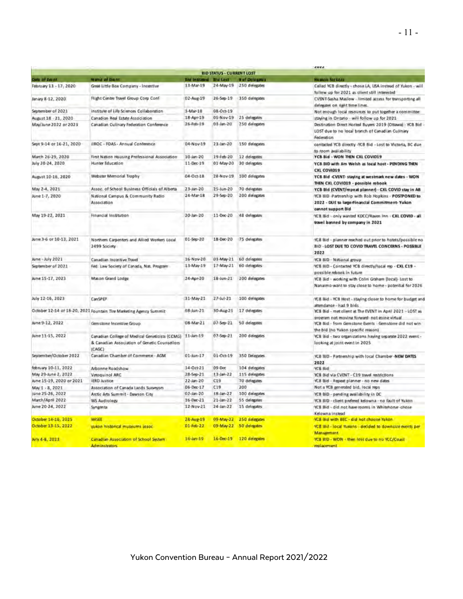|                          |                                                                                                                     |                               |                                  |                         | <b>EMEL</b>                                                                                                           |
|--------------------------|---------------------------------------------------------------------------------------------------------------------|-------------------------------|----------------------------------|-------------------------|-----------------------------------------------------------------------------------------------------------------------|
|                          |                                                                                                                     |                               | <b>BID STATUS - CURRENT LOST</b> |                         |                                                                                                                       |
| Data of Event            | <b>Name of Brent</b>                                                                                                | <b>Eld Intitated Bid Lost</b> |                                  | # of Delegates          | <b>Humon for Loss</b>                                                                                                 |
| February 13 - 17, 2020   | Great Little Box Company - Incentive                                                                                | 13-Mar-19                     |                                  | 24-May-19 250 delegates | Called VCB directly - chose LA, USA instead of Yukon - will<br>follow up for 2021 as client still interested          |
| Janáry 8-12, 2020        | Flight Centre Travel Group Corp Conf                                                                                | D2-Aug-19                     | $26-Sep-19$                      | 350 delegates           | CVENT-Sasha Maslow - limited access for transporting all<br>delegates on nant time lines.                             |
| September of 2021        | institute of Life Sciences Caliaboration                                                                            | 3-Mar-18                      | 08-Oct-19                        |                         | Not enough local resources to put together a committee                                                                |
| August 18 - 21, 2020     | Canadian Real Estate Association                                                                                    | 18-Apr-19                     | 05-Nov-19                        | 25 delegates            | staying in Ontario - will follow up for 2021                                                                          |
| May/June 2022 or 2023    | Canadian Culinary Federation Conference                                                                             | 26-Feb-19                     | 03-Jan-20                        | 250 delegates           | Destination Direct Hosted Buyers 2019 (Ottawa) - YCB Bid                                                              |
|                          |                                                                                                                     |                               |                                  |                         | LOST due to no local branch of Canadian Culinary<br>Federation                                                        |
| Sept 9-14 or 16-21, 2020 | IIROC - FOAS - Annual Conference                                                                                    | 04-Nov-19                     | 23-Jan-20                        | 150 delegates           | contacted YCB directly -YCB Bid - Lost to Victoria, BC due<br>to room availability                                    |
| March 26-29, 2020        | First Nation Housing Professional Association                                                                       | 10-Jan-20                     | 19 Feb-20                        | 12 delegates            | YCB Bid - WON THEN CXL COVID19                                                                                        |
| July 20-24, 2020         | Hunter Education                                                                                                    | 11-Dec-19                     | 01 May-20                        | 30 delegates            | YCB BID with Jim Weish as local host - PENDING THEN<br>CXL COVID19                                                    |
| August 10-15, 2020       | Webster Memorial Trophy                                                                                             | 04-Oct-18                     | 28-Nov-19                        | 100 delegates           | YCB Bid <vent- -="" at="" dates="" new="" staying="" westmark="" won<br="">THEN CXL COVID19 - possible rebook</vent-> |
| May 2-4, 2021            | Assoc. of School Business Officials of Alberta                                                                      | 23-Jan-20                     | 25-Jun-20                        | 70 delegates            | YCB Bid (CVENT/repeat planner) - CXL COVID stay in AB                                                                 |
| June 1-7, 2020           | National Campus & Community Radio                                                                                   | 24-Mar-18                     | 29-Sep-20                        | 200 delegates           | YCB BID -Partnership with Rob Hopkins - POSTPONED to                                                                  |
|                          | Association                                                                                                         |                               |                                  |                         | 2022 - DUE to largerFinancial Commitment-Yukon<br>cannot support Bid                                                  |
| May 19-22, 2021          | Financial Institution                                                                                               | 20-Jan-20                     | 11-Dec-20                        | 48 delegates            | YCB Bid - only wanted KDCC/Raven inn - CXL COVID - all<br>travel banned by company in 2021                            |
| June 3-6 or 10-13, 2021  | Northern Carpenters and Allied Workers Local                                                                        | 01-Sep-20                     | 18-Dec-20                        | 75 delegates            | YCB Bid - planner reached out prior to hotels/possible no.                                                            |
|                          | 2499 Society                                                                                                        |                               |                                  |                         | BID - LOST DUE TO COVID TRAVEL CONCERNS - POSSIBLE<br>2022                                                            |
| June - July 2021         | Canadian Incentive Travel                                                                                           | 16-Nov-20                     | 03-May-21                        | 60 delegates            | YCB SID - National group                                                                                              |
| September of 2021        | Fed: Law Society of Canada, Nat. Program                                                                            | 13-May-19                     | $17$ -May-21                     | 60 delegates            | YCB BID - Contacted YCB directly/lacal rep - CXL C19 -<br>possible rebook in future                                   |
| June 15-17, 2023         | Mason Grand Lodge                                                                                                   | 24-Apr-20                     | $18 - Jun - 21$                  | 200 delegates           | YCB Bid - working with Colin Graham (local)- Lost to<br>Nanaimo-want to stay close to home - potential for 2026       |
| July 12-16, 2023         | CanSPEP                                                                                                             | 31-May 21                     | $27 -  u  - 21$                  | 100 delegates           | YCB Bid - YCB Host - staying closer to home for budget and<br>attendance - had 9 bilds                                |
|                          | October 12-14 of 18-20, 2021 Fountain Tire Marketing Agency Summit                                                  | 08-Jun-21                     | 30-Aug-21                        | 17 delegates            | YCB Bid - met client at The EVENT in April 2021 - LOST as<br>program not moving forward- not going virtual            |
| June 9-12, 2022          | Genstone Incentive Group                                                                                            | 08-Mar-21                     | D7-Sep-21                        | 50 delegates            | YCB Bid - from Gemstone Events Gemstone did not win<br>the bid (no Yukon specific reason)                             |
| June 11-15, 2022         | Canadian College of Medical Geneticists (CCMG) 11-Jan-19<br>& Canadian Association of Genetic Counsellors<br>(CAGC) |                               | 07-Sep-21                        | 200 delegates           | YCB Bid - two organizations having separate 2022 event -<br>looking at joint event in 2025                            |
| September/October 2022   | Canadian Chamber of Commerce - AGM                                                                                  | $01 - lum - 17$               | $01-Oc1-9$                       | 350 Delegates           | YCB BID - Partnership with local Chamber-NEW DATES<br>2022                                                            |
| february 10-11, 2022     | Arbonne Roadshow                                                                                                    | 14-Oct-21                     | 09 Dec                           | 104 delegates           | YCB Bid                                                                                                               |
| May 29-June 2, 2022      | Vetoquinol ARC                                                                                                      | 28-Sep-21                     | 13-Jan-22                        | 115 delegates           | YCB Bid via CVENT - C19 travel restrictions                                                                           |
| June 15-19, 2020 or 2021 | <b>IERD Justice</b>                                                                                                 | $22 - Jan - 20$               | C19                              | 70 delegates            | VCB Bid - Repeat planner - no new dates                                                                               |
| May 1 - 8, 2021          | Association of Canada Lands Surveyors                                                                               | $06 - Dec - 17$               | C19                              | 200                     | Not a VCB generated bid, local reps                                                                                   |
| june 25-26, 2022         | Arctic Arts Summit - Dawson City                                                                                    | 02-Jan-20                     | 18-Jan-22                        | 100 delegates           | YCB BID - pending availability in DC.                                                                                 |
| March/April 2022         | WS Audiology                                                                                                        | $16$ -Dec-21                  | $21 - \frac{1}{2}$               | 55 delegates            | YCB BID - client prefered kelowna - no fault of Yukon                                                                 |
| June 20-24, 2022         | Syngenta                                                                                                            | 12-Nov-21                     | 24-Jan-22                        | 15 delegates            | YCB Bid - did not have rooms in Whitehorse -chose<br>Kelowna instead                                                  |
| October 14-16, 2025      | <b>WISEE</b>                                                                                                        | 28-Aug-19                     | 09-May-22                        | 250 delegates           | VCB aid with BEC - did not choose rukan.                                                                              |
| October 13-15, 2022      | yukon historical museums assoc-                                                                                     | 01-Feb-22                     | 09-May 22                        | 50 delegates            | YCB Bld - local Yukons - decided to downsize events per<br><b>Management</b>                                          |
| Arry 4-8, 2023           | Canadian Association of School System<br>Administrators.                                                            | 16-lan-19                     |                                  | 16-Dec-19 120 delegates | YCB BID - WON - then lost due to no YCC/Coast<br>realacement.                                                         |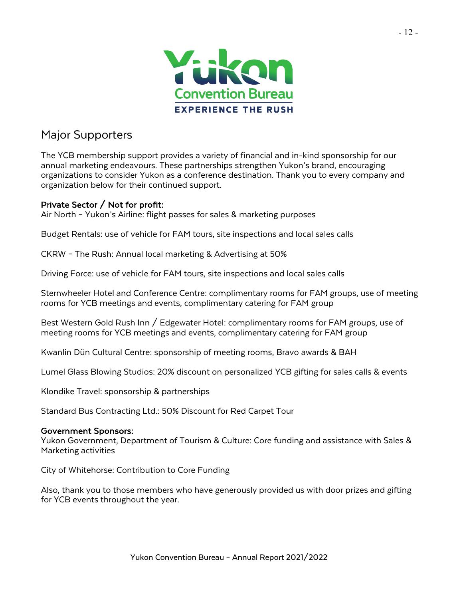

## Major Supporters

The YCB membership support provides a variety of financial and in-kind sponsorship for our annual marketing endeavours. These partnerships strengthen Yukon's brand, encouraging organizations to consider Yukon as a conference destination. Thank you to every company and organization below for their continued support.

### Private Sector / Not for profit:

Air North – Yukon's Airline: flight passes for sales & marketing purposes

Budget Rentals: use of vehicle for FAM tours, site inspections and local sales calls

CKRW – The Rush: Annual local marketing & Advertising at 50%

Driving Force: use of vehicle for FAM tours, site inspections and local sales calls

Sternwheeler Hotel and Conference Centre: complimentary rooms for FAM groups, use of meeting rooms for YCB meetings and events, complimentary catering for FAM group

Best Western Gold Rush Inn / Edgewater Hotel: complimentary rooms for FAM groups, use of meeting rooms for YCB meetings and events, complimentary catering for FAM group

Kwanlin Dün Cultural Centre: sponsorship of meeting rooms, Bravo awards & BAH

Lumel Glass Blowing Studios: 20% discount on personalized YCB gifting for sales calls & events

Klondike Travel: sponsorship & partnerships

Standard Bus Contracting Ltd.: 50% Discount for Red Carpet Tour

#### Government Sponsors:

Yukon Government, Department of Tourism & Culture: Core funding and assistance with Sales & Marketing activities

City of Whitehorse: Contribution to Core Funding

Also, thank you to those members who have generously provided us with door prizes and gifting for YCB events throughout the year.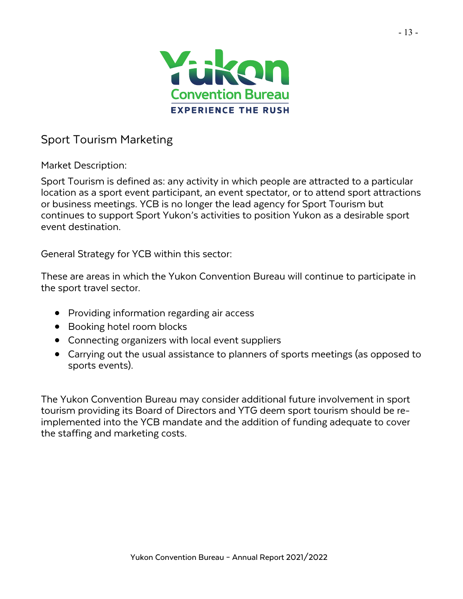

## Sport Tourism Marketing

Market Description:

Sport Tourism is defined as: any activity in which people are attracted to a particular location as a sport event participant, an event spectator, or to attend sport attractions or business meetings. YCB is no longer the lead agency for Sport Tourism but continues to support Sport Yukon's activities to position Yukon as a desirable sport event destination.

General Strategy for YCB within this sector:

These are areas in which the Yukon Convention Bureau will continue to participate in the sport travel sector.

- Providing information regarding air access
- Booking hotel room blocks
- Connecting organizers with local event suppliers
- Carrying out the usual assistance to planners of sports meetings (as opposed to sports events).

The Yukon Convention Bureau may consider additional future involvement in sport tourism providing its Board of Directors and YTG deem sport tourism should be re- implemented into the YCB mandate and the addition of funding adequate to cover the staffing and marketing costs.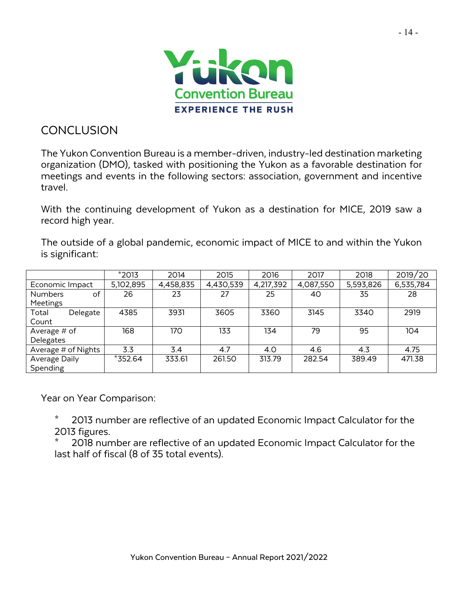

# **CONCLUSION**

The Yukon Convention Bureau is a member-driven, industry-led destination marketing organization (DMO), tasked with positioning the Yukon as a favorable destination for meetings and events in the following sectors: association, government and incentive travel.

With the continuing development of Yukon as a destination for MICE, 2019 saw a record high year.

The outside of a global pandemic, economic impact of MICE to and within the Yukon is significant:

|                      | $*2013$   | 2014      | 2015      | 2016      | 2017      | 2018      | 2019/20   |
|----------------------|-----------|-----------|-----------|-----------|-----------|-----------|-----------|
| Economic Impact      | 5,102,895 | 4,458,835 | 4,430,539 | 4,217,392 | 4,087,550 | 5,593,826 | 6,535,784 |
| of<br><b>Numbers</b> | 26        | 23        | 27        | 25        | 40        | 35        | 28        |
| Meetings             |           |           |           |           |           |           |           |
| Total<br>Delegate    | 4385      | 3931      | 3605      | 3360      | 3145      | 3340      | 2919      |
| Count                |           |           |           |           |           |           |           |
| Average $#$ of       | 168       | 170       | 133       | 134       | 79        | 95        | 104       |
| Delegates            |           |           |           |           |           |           |           |
| Average # of Nights  | 3.3       | 3.4       | 4.7       | 4.0       | 4.6       | 4.3       | 4.75      |
| Average Daily        | *352.64   | 333.61    | 261.50    | 313.79    | 282.54    | 389.49    | 471.38    |
| Spending             |           |           |           |           |           |           |           |

Year on Year Comparison:

2013 number are reflective of an updated Economic Impact Calculator for the 2013 figures.

2018 number are reflective of an updated Economic Impact Calculator for the last half of fiscal (8 of 35 total events).